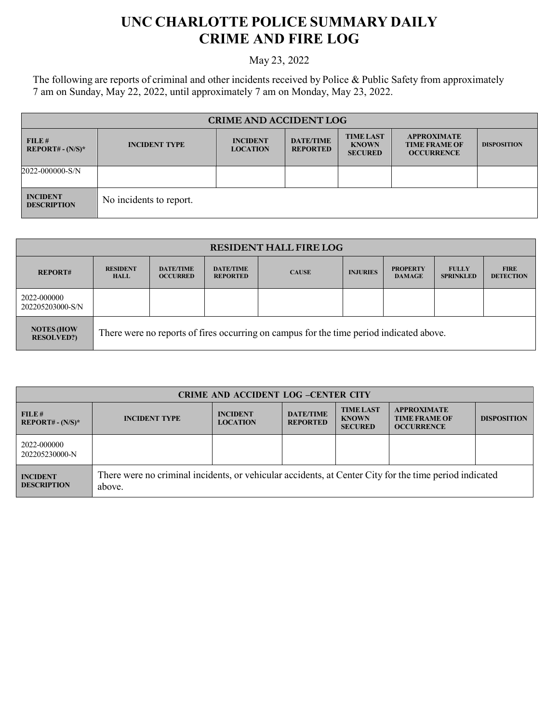## **UNC CHARLOTTE POLICE SUMMARY DAILY CRIME AND FIRE LOG**

## May 23, 2022

The following are reports of criminal and other incidents received by Police & Public Safety from approximately 7 am on Sunday, May 22, 2022, until approximately 7 am on Monday, May 23, 2022.

| <b>CRIME AND ACCIDENT LOG</b>         |                         |                                    |                                     |                                                    |                                                                 |                    |
|---------------------------------------|-------------------------|------------------------------------|-------------------------------------|----------------------------------------------------|-----------------------------------------------------------------|--------------------|
| FILE#<br>$REPORT# - (N/S)*$           | <b>INCIDENT TYPE</b>    | <b>INCIDENT</b><br><b>LOCATION</b> | <b>DATE/TIME</b><br><b>REPORTED</b> | <b>TIME LAST</b><br><b>KNOWN</b><br><b>SECURED</b> | <b>APPROXIMATE</b><br><b>TIME FRAME OF</b><br><b>OCCURRENCE</b> | <b>DISPOSITION</b> |
| 2022-000000-S/N                       |                         |                                    |                                     |                                                    |                                                                 |                    |
| <b>INCIDENT</b><br><b>DESCRIPTION</b> | No incidents to report. |                                    |                                     |                                                    |                                                                 |                    |

| <b>RESIDENT HALL FIRE LOG</b>          |                                |                                     |                                     |                                                                                         |                 |                                  |                                  |                                 |
|----------------------------------------|--------------------------------|-------------------------------------|-------------------------------------|-----------------------------------------------------------------------------------------|-----------------|----------------------------------|----------------------------------|---------------------------------|
| <b>REPORT#</b>                         | <b>RESIDENT</b><br><b>HALL</b> | <b>DATE/TIME</b><br><b>OCCURRED</b> | <b>DATE/TIME</b><br><b>REPORTED</b> | <b>CAUSE</b>                                                                            | <b>INJURIES</b> | <b>PROPERTY</b><br><b>DAMAGE</b> | <b>FULLY</b><br><b>SPRINKLED</b> | <b>FIRE</b><br><b>DETECTION</b> |
| 2022-000000<br>202205203000-S/N        |                                |                                     |                                     |                                                                                         |                 |                                  |                                  |                                 |
| <b>NOTES (HOW</b><br><b>RESOLVED?)</b> |                                |                                     |                                     | There were no reports of fires occurring on campus for the time period indicated above. |                 |                                  |                                  |                                 |

| <b>CRIME AND ACCIDENT LOG -CENTER CITY</b> |                                                                                                                  |                                    |                                     |                                                    |                                                                 |                    |
|--------------------------------------------|------------------------------------------------------------------------------------------------------------------|------------------------------------|-------------------------------------|----------------------------------------------------|-----------------------------------------------------------------|--------------------|
| FILE#<br>$REPORT# - (N/S)*$                | <b>INCIDENT TYPE</b>                                                                                             | <b>INCIDENT</b><br><b>LOCATION</b> | <b>DATE/TIME</b><br><b>REPORTED</b> | <b>TIME LAST</b><br><b>KNOWN</b><br><b>SECURED</b> | <b>APPROXIMATE</b><br><b>TIME FRAME OF</b><br><b>OCCURRENCE</b> | <b>DISPOSITION</b> |
| 2022-000000<br>202205230000-N              |                                                                                                                  |                                    |                                     |                                                    |                                                                 |                    |
| <b>INCIDENT</b><br><b>DESCRIPTION</b>      | There were no criminal incidents, or vehicular accidents, at Center City for the time period indicated<br>above. |                                    |                                     |                                                    |                                                                 |                    |